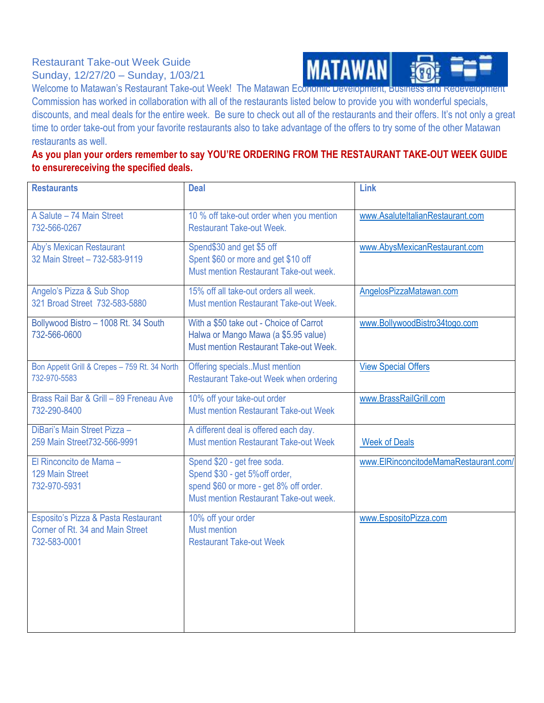## Restaurant Take-out Week Guide Sunday, 12/27/20 – Sunday, 1/03/21



Welcome to Matawan's Restaurant Take-out Week! The Matawan Economic Development, Business and Redevelopment Commission has worked in collaboration with all of the restaurants listed below to provide you with wonderful specials, discounts, and meal deals for the entire week. Be sure to check out all of the restaurants and their offers. It's not only a great time to order take-out from your favorite restaurants also to take advantage of the offers to try some of the other Matawan restaurants as well.

## **As you plan your orders remember to say YOU'RE ORDERING FROM THE RESTAURANT TAKE-OUT WEEK GUIDE to ensurereceiving the specified deals.**

| <b>Deal</b>                                                                                                                                       | Link                                  |
|---------------------------------------------------------------------------------------------------------------------------------------------------|---------------------------------------|
| 10 % off take-out order when you mention<br><b>Restaurant Take-out Week.</b>                                                                      | www.AsaluteItalianRestaurant.com      |
| Spend\$30 and get \$5 off<br>Spent \$60 or more and get \$10 off<br>Must mention Restaurant Take-out week.                                        | www.AbysMexicanRestaurant.com         |
| 15% off all take-out orders all week.<br><b>Must mention Restaurant Take-out Week.</b>                                                            | AngelosPizzaMatawan.com               |
| With a \$50 take out - Choice of Carrot<br>Halwa or Mango Mawa (a \$5.95 value)<br>Must mention Restaurant Take-out Week.                         | www.BollywoodBistro34togo.com         |
| Offering specialsMust mention<br><b>Restaurant Take-out Week when ordering</b>                                                                    | <b>View Special Offers</b>            |
| 10% off your take-out order<br><b>Must mention Restaurant Take-out Week</b>                                                                       | www.BrassRailGrill.com                |
| A different deal is offered each day.<br><b>Must mention Restaurant Take-out Week</b>                                                             | <b>Week of Deals</b>                  |
| Spend \$20 - get free soda.<br>Spend \$30 - get 5% off order,<br>spend \$60 or more - get 8% off order.<br>Must mention Restaurant Take-out week. | www.ElRinconcitodeMamaRestaurant.com/ |
| 10% off your order<br><b>Must mention</b><br><b>Restaurant Take-out Week</b>                                                                      | www.EspositoPizza.com                 |
|                                                                                                                                                   |                                       |